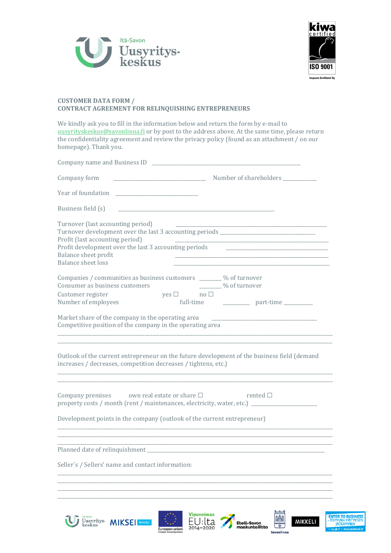



**ENTER TO BUSINESS**<br>- TOIMIVAN YRITYKSEN

鸕

 $\begin{array}{c}\n\hline\n\end{array}$ 

**Savonlinna** 

Etelä-Savon<br>maakuntaliitto

**MIKKELI** 

## **CUSTOMER DATA FORM / CONTRACT AGREEMENT FOR RELINQUISHING ENTREPRENEURS**

We kindly ask you to fill in the information below and return the form by e-mail to [uusyrityskeskus@savonlinna.fi](mailto:uusyrityskeskus@savonlinna.fi) or by post to the address above. At the same time, please return the confidentiality agreement and review the privacy policy (found as an attachment / on our homepage). Thank you.

| Company form                                                                                                                                                                                                                                                           |                                                                                                                       |
|------------------------------------------------------------------------------------------------------------------------------------------------------------------------------------------------------------------------------------------------------------------------|-----------------------------------------------------------------------------------------------------------------------|
|                                                                                                                                                                                                                                                                        |                                                                                                                       |
| Business field (s)                                                                                                                                                                                                                                                     | <u> 1989 - Johann Barbara, martin amerikan basal dan berasal dalam basal dalam basal dalam basal dalam basal dala</u> |
| Turnover (last accounting period)<br>Turnover development over the last 3 accounting periods ________________________<br>Profit (last accounting period)<br>Profit development over the last 3 accounting periods<br>Balance sheet profit<br><b>Balance sheet loss</b> |                                                                                                                       |
| Companies / communities as business customers _______ % of turnover                                                                                                                                                                                                    |                                                                                                                       |
| Consumer as business customers                                                                                                                                                                                                                                         | ________% of turnover                                                                                                 |
| $yes \Box$ no $\Box$<br>Customer register<br>Number of employees                                                                                                                                                                                                       | full-time ______________ part-time __________                                                                         |
| Market share of the company in the operating area<br>Competitive position of the company in the operating area                                                                                                                                                         |                                                                                                                       |
| increases / decreases, competition decreases / tightens, etc.)                                                                                                                                                                                                         | Outlook of the current entrepreneur on the future development of the business field (demand                           |
| Company premises own real estate or share $\square$ rented $\square$                                                                                                                                                                                                   |                                                                                                                       |
| Development points in the company (outlook of the current entrepreneur)                                                                                                                                                                                                |                                                                                                                       |
|                                                                                                                                                                                                                                                                        |                                                                                                                       |
| Planned date of relinquishment                                                                                                                                                                                                                                         |                                                                                                                       |
| Seller's / Sellers' name and contact information:                                                                                                                                                                                                                      |                                                                                                                       |
|                                                                                                                                                                                                                                                                        |                                                                                                                       |
|                                                                                                                                                                                                                                                                        |                                                                                                                       |
|                                                                                                                                                                                                                                                                        |                                                                                                                       |

**Vipuvoimaa** 

 $EU:$ Ita

Euroopan unioni

Uusyritys MIKSE MIKKELI

U